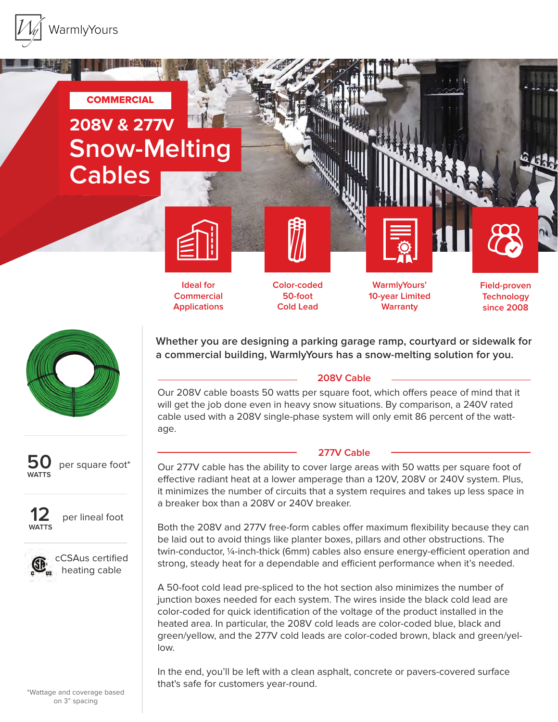





**Applications**

**Ideal for Commercial** 

**Color-coded 50-foot Cold Lead**

**WarmlyYours' 10-year Limited Warranty**

**Field-proven Technology since 2008**



**50 WATTS** per square foot\*



per lineal foot



cCSAus certified heating cable

**Whether you are designing a parking garage ramp, courtyard or sidewalk for a commercial building, WarmlyYours has a snow-melting solution for you.**

## **208V Cable**

Our 208V cable boasts 50 watts per square foot, which offers peace of mind that it will get the job done even in heavy snow situations. By comparison, a 240V rated cable used with a 208V single-phase system will only emit 86 percent of the wattage.

## **277V Cable**

Our 277V cable has the ability to cover large areas with 50 watts per square foot of effective radiant heat at a lower amperage than a 120V, 208V or 240V system. Plus, it minimizes the number of circuits that a system requires and takes up less space in a breaker box than a 208V or 240V breaker.

Both the 208V and 277V free-form cables offer maximum flexibility because they can be laid out to avoid things like planter boxes, pillars and other obstructions. The twin-conductor, 1/4-inch-thick (6mm) cables also ensure energy-efficient operation and strong, steady heat for a dependable and efficient performance when it's needed.

A 50-foot cold lead pre-spliced to the hot section also minimizes the number of junction boxes needed for each system. The wires inside the black cold lead are color-coded for quick identification of the voltage of the product installed in the heated area. In particular, the 208V cold leads are color-coded blue, black and green/yellow, and the 277V cold leads are color-coded brown, black and green/yellow.

In the end, you'll be left with a clean asphalt, concrete or pavers-covered surface that's safe for customers year-round.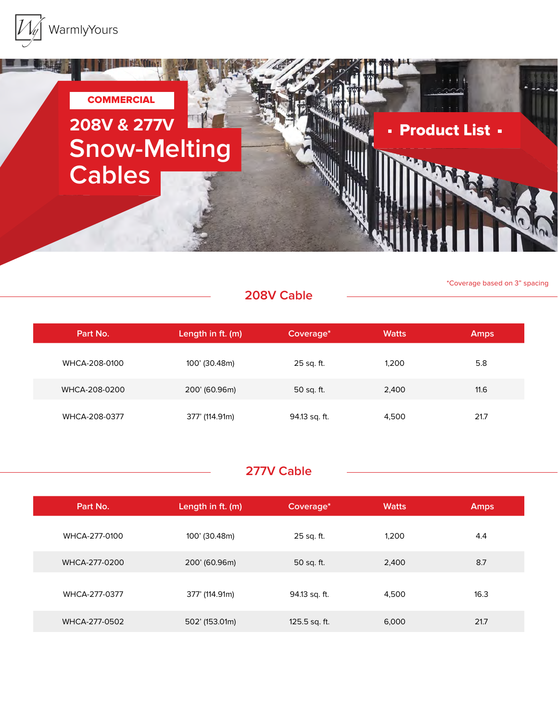



\*Coverage based on 3" spacing

## **208V Cable**

**Part No. Length in ft. (m) Coverage\* Watts Amps** WHCA-208-0100 100' (30.48m) 25 sq. ft. 1,200 5.8 WHCA-208-0200 200' (60.96m) 50 sq. ft. 2,400 2,400 11.6 WHCA-208-0377 377' (114.91m) 94.13 sq. ft. 4,500 4.500 21.7

## **277V Cable**

| Part No.      | Length in ft. (m) | Coverage*     | <b>Watts</b> | <b>Amps</b> |
|---------------|-------------------|---------------|--------------|-------------|
| WHCA-277-0100 | 100' (30.48m)     | 25 sq. ft.    | 1.200        | 4.4         |
| WHCA-277-0200 | 200' (60.96m)     | 50 sq. ft.    | 2,400        | 8.7         |
| WHCA-277-0377 | 377' (114.91m)    | 94.13 sq. ft. | 4,500        | 16.3        |
| WHCA-277-0502 | 502' (153.01m)    | 125.5 sq. ft. | 6,000        | 21.7        |